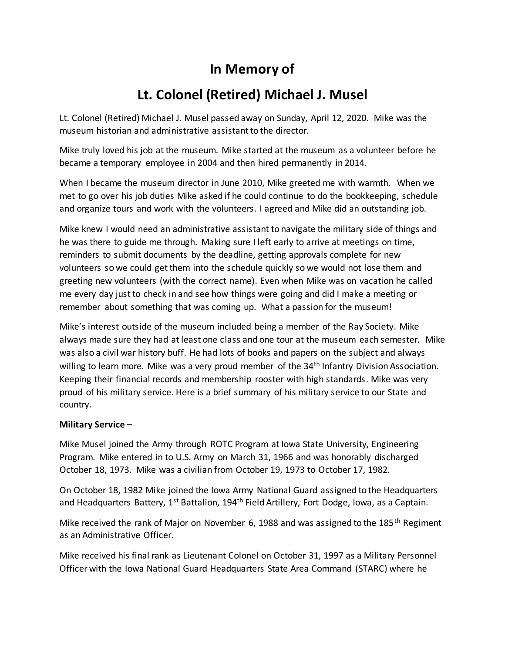## **In Memory of**

## **Lt. Colonel (Retired) Michael J. Musel**

Lt. Colonel (Retired) Michael J. Musel passed away on Sunday, April 12, 2020. Mike was the museum historian and administrative assistant to the director.

Mike truly loved his job at the museum. Mike started at the museum as a volunteer before he became a temporary employee in 2004 and then hired permanently in 2014.

When I became the museum director in June 2010, Mike greeted me with warmth. When we met to go over his job duties Mike asked if he could continue to do the bookkeeping, schedule and organize tours and work with the volunteers. I agreed and Mike did an outstanding job.

Mike knew I would need an administrative assistant to navigate the military side of things and he was there to guide me through. Making sure I left early to arrive at meetings on time, reminders to submit documents by the deadline, getting approvals complete for new volunteers so we could get them into the schedule quickly so we would not lose them and greeting new volunteers (with the correct name). Even when Mike was on vacation he called me every day just to check in and see how things were going and did I make a meeting or remember about something that was coming up. What a passion for the museum!

Mike's interest outside of the museum included being a member of the Ray Society. Mike always made sure they had at least one class and one tour at the museum each semester. Mike was also a civil war history buff. He had lots of books and papers on the subject and always willing to learn more. Mike was a very proud member of the 34<sup>th</sup> Infantry Division Association. Keeping their financial records and membership rooster with high standards. Mike was very proud of his military service. Here is a brief summary of his military service to our State and country.

## **Military Service –**

Mike Musel joined the Army through ROTC Program at Iowa State University, Engineering Program. Mike entered in to U.S. Army on March 31, 1966 and was honorably discharged October 18, 1973. Mike was a civilian from October 19, 1973 to October 17, 1982.

On October 18, 1982 Mike joined the Iowa Army National Guard assigned to the Headquarters and Headquarters Battery, 1<sup>st</sup> Battalion, 194<sup>th</sup> Field Artillery, Fort Dodge, Iowa, as a Captain.

Mike received the rank of Major on November 6, 1988 and was assigned to the 185<sup>th</sup> Regiment as an Administrative Officer.

Mike received his final rank as Lieutenant Colonel on October 31, 1997 as a Military Personnel Officer with the Iowa National Guard Headquarters State Area Command (STARC) where he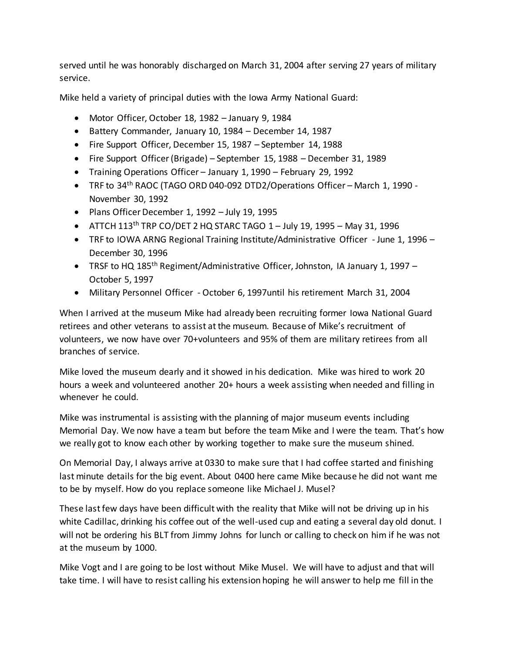served until he was honorably discharged on March 31, 2004 after serving 27 years of military service.

Mike held a variety of principal duties with the Iowa Army National Guard:

- Motor Officer, October 18, 1982 January 9, 1984
- Battery Commander, January 10, 1984 December 14, 1987
- Fire Support Officer, December 15, 1987 September 14, 1988
- Fire Support Officer (Brigade) September 15, 1988 December 31, 1989
- Training Operations Officer January 1, 1990 February 29, 1992
- TRF to 34th RAOC (TAGO ORD 040-092 DTD2/Operations Officer March 1, 1990 November 30, 1992
- Plans Officer December 1, 1992 July 19, 1995
- $\bullet$  ATTCH 113<sup>th</sup> TRP CO/DET 2 HQ STARC TAGO 1 July 19, 1995 May 31, 1996
- TRF to IOWA ARNG Regional Training Institute/Administrative Officer June 1, 1996 December 30, 1996
- **•** TRSF to HQ 185<sup>th</sup> Regiment/Administrative Officer, Johnston, IA January 1, 1997 October 5, 1997
- Military Personnel Officer October 6, 1997until his retirement March 31, 2004

When I arrived at the museum Mike had already been recruiting former Iowa National Guard retirees and other veterans to assist at the museum. Because of Mike's recruitment of volunteers, we now have over 70+volunteers and 95% of them are military retirees from all branches of service.

Mike loved the museum dearly and it showed in his dedication. Mike was hired to work 20 hours a week and volunteered another 20+ hours a week assisting when needed and filling in whenever he could.

Mike was instrumental is assisting with the planning of major museum events including Memorial Day. We now have a team but before the team Mike and I were the team. That's how we really got to know each other by working together to make sure the museum shined.

On Memorial Day, I always arrive at 0330 to make sure that I had coffee started and finishing last minute details for the big event. About 0400 here came Mike because he did not want me to be by myself. How do you replace someone like Michael J. Musel?

These last few days have been difficult with the reality that Mike will not be driving up in his white Cadillac, drinking his coffee out of the well-used cup and eating a several day old donut. I will not be ordering his BLT from Jimmy Johns for lunch or calling to check on him if he was not at the museum by 1000.

Mike Vogt and I are going to be lost without Mike Musel. We will have to adjust and that will take time. I will have to resist calling his extension hoping he will answer to help me fill in the